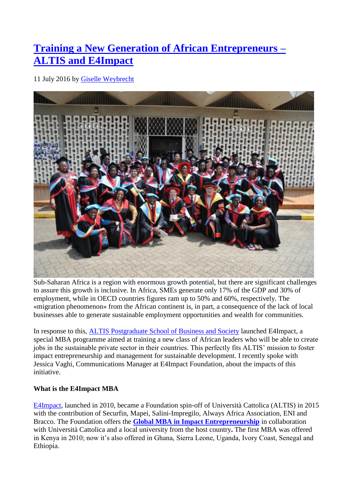# **[Training a New Generation of African Entrepreneurs –](https://primetime.unprme.org/2016/07/11/training-a-new-generation-of-african-entrepreneurs-altis-and-e4impact/) [ALTIS and](https://primetime.unprme.org/2016/07/11/training-a-new-generation-of-african-entrepreneurs-altis-and-e4impact/) E4Impact**

11 July 2016 by [Giselle Weybrecht](https://primetime.unprme.org/author/gweybrecht/)



Sub-Saharan Africa is a region with enormous growth potential, but there are significant challenges to assure this growth is inclusive. In Africa, SMEs generate only 17% of the GDP and 30% of employment, while in OECD countries figures ram up to 50% and 60%, respectively. The «migration phenomenon» from the African continent is, in part, a consequence of the lack of local businesses able to generate sustainable employment opportunities and wealth for communities.

In response to this, [ALTIS Postgraduate School of Business and Society](http://www.unprme.org/participants/view-participants.php?partid=59) launched E4Impact, a special MBA programme aimed at training a new class of African leaders who will be able to create jobs in the sustainable private sector in their countries. This perfectly fits ALTIS' mission to foster impact entrepreneurship and management for sustainable development. I recently spoke with Jessica Vaghi, Communications Manager at E4Impact Foundation, about the impacts of this initiative.

## **What is the E4Impact MBA**

[E4Impact,](http://e4impact.org/) launched in 2010, became a Foundation spin-off of Università Cattolica (ALTIS) in 2015 with the contribution of Securfin, Mapei, Salini-Impregilo, Always Africa Association, ENI and Bracco. The Foundation offers the **[Global MBA in Impact Entrepreneurship](http://e4impact.org/mba/international-degree/)** in collaboration with Università Cattolica and a local university from the host country**.** The first MBA was offered in Kenya in 2010; now it's also offered in Ghana, Sierra Leone, Uganda, Ivory Coast, Senegal and Ethiopia.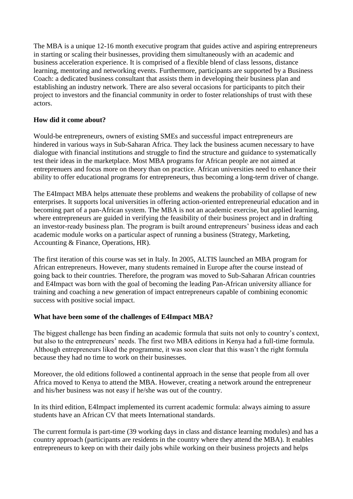The MBA is a unique 12-16 month executive program that guides active and aspiring entrepreneurs in starting or scaling their businesses, providing them simultaneously with an academic and business acceleration experience. It is comprised of a flexible blend of class lessons, distance learning, mentoring and networking events. Furthermore, participants are supported by a Business Coach: a dedicated business consultant that assists them in developing their business plan and establishing an industry network. There are also several occasions for participants to pitch their project to investors and the financial community in order to foster relationships of trust with these actors.

### **How did it come about?**

Would-be entrepreneurs, owners of existing SMEs and successful impact entrepreneurs are hindered in various ways in Sub-Saharan Africa. They lack the business acumen necessary to have dialogue with financial institutions and struggle to find the structure and guidance to systematically test their ideas in the marketplace. Most MBA programs for African people are not aimed at entreprenuers and focus more on theory than on practice. African universities need to enhance their ability to offer educational programs for entrepreneurs, thus becoming a long-term driver of change.

The E4Impact MBA helps attenuate these problems and weakens the probability of collapse of new enterprises. It supports local universities in offering action-oriented entrepreneurial education and in becoming part of a pan-African system. The MBA is not an academic exercise, but applied learning, where entrepreneurs are guided in verifying the feasibility of their business project and in drafting an investor-ready business plan. The program is built around entrepreneurs' business ideas and each academic module works on a particular aspect of running a business (Strategy, Marketing, Accounting & Finance, Operations, HR).

The first iteration of this course was set in Italy. In 2005, ALTIS launched an MBA program for African entrepreneurs. However, many students remained in Europe after the course instead of going back to their countries. Therefore, the program was moved to Sub-Saharan African countries and E4Impact was born with the goal of becoming the leading Pan-African university alliance for training and coaching a new generation of impact entrepreneurs capable of combining economic success with positive social impact.

### **What have been some of the challenges of E4Impact MBA?**

The biggest challenge has been finding an academic formula that suits not only to country's context, but also to the entrepreneurs' needs. The first two MBA editions in Kenya had a full-time formula. Although entrepreneurs liked the programme, it was soon clear that this wasn't the right formula because they had no time to work on their businesses.

Moreover, the old editions followed a continental approach in the sense that people from all over Africa moved to Kenya to attend the MBA. However, creating a network around the entrepreneur and his/her business was not easy if he/she was out of the country.

In its third edition, E4Impact implemented its current academic formula: always aiming to assure students have an African CV that meets International standards.

The current formula is part-time (39 working days in class and distance learning modules) and has a country approach (participants are residents in the country where they attend the MBA). It enables entrepreneurs to keep on with their daily jobs while working on their business projects and helps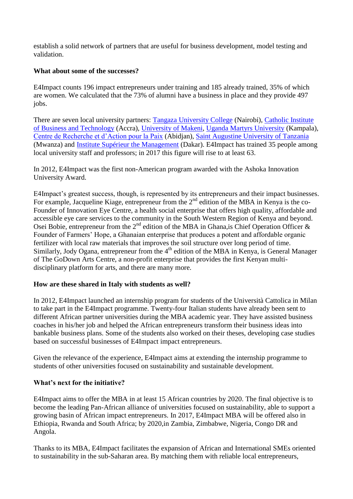establish a solid network of partners that are useful for business development, model testing and validation.

### **What about some of the successes?**

E4Impact counts 196 impact entrepreneurs under training and 185 already trained, 35% of which are women. We calculated that the 73% of alumni have a business in place and they provide 497 jobs.

There are seven local university partners: [Tangaza University College](http://tangaza.org/) (Nairobi), [Catholic Institute](http://www.cibtghana.net/)  [of Business and Technology](http://www.cibtghana.net/) (Accra), [University of Makeni,](http://universityofmakeni.com/wordpress/) [Uganda Martyrs University](http://www.umu.ac.ug/) (Kampala), [Centre de Recherche et d'Action pour la Paix](http://cerap-inades.org/) (Abidjan), [Saint Augustine University of Tanzania](http://www.saut.ac.tz/) (Mwanza) and [Institute Supérieur the Management](http://www.groupeism.com/) (Dakar). E4Impact has trained 35 people among local university staff and professors; in 2017 this figure will rise to at least 63.

In 2012, E4Impact was the first non-American program awarded with the Ashoka Innovation University Award.

E4Impact's greatest success, though, is represented by its entrepreneurs and their impact businesses. For example, Jacqueline Kiage, entrepreneur from the  $2<sup>nd</sup>$  edition of the MBA in Kenya is the co-Founder of Innovation Eye Centre, a health social enterprise that offers high quality, affordable and accessible eye care services to the community in the South Western Region of Kenya and beyond. Osei Bobie, entrepreneur from the  $2^{nd}$  edition of the MBA in Ghana, is Chief Operation Officer & Founder of Farmers' Hope, a Ghanaian enterprise that produces a potent and affordable organic fertilizer with local raw materials that improves the soil structure over long period of time. Similarly, Jody Ogana, entrepreneur from the  $4<sup>th</sup>$  edition of the MBA in Kenya, is General Manager of The GoDown Arts Centre, a non-profit enterprise that provides the first Kenyan multidisciplinary platform for arts, and there are many more.

### **How are these shared in Italy with students as well?**

In 2012, E4Impact launched an internship program for students of the Università Cattolica in Milan to take part in the E4Impact programme. Twenty-four Italian students have already been sent to different African partner universities during the MBA academic year. They have assisted business coaches in his/her job and helped the African entrepreneurs transform their business ideas into bankable business plans. Some of the students also worked on their theses, developing case studies based on successful businesses of E4Impact impact entrepreneurs.

Given the relevance of the experience, E4Impact aims at extending the internship programme to students of other universities focused on sustainability and sustainable development.

### **What's next for the initiative?**

E4Impact aims to offer the MBA in at least 15 African countries by 2020. The final objective is to become the leading Pan-African alliance of universities focused on sustainability, able to support a growing basin of African impact entrepreneurs. In 2017, E4Impact MBA will be offered also in Ethiopia, Rwanda and South Africa; by 2020,in Zambia, Zimbabwe, Nigeria, Congo DR and Angola.

Thanks to its MBA, E4Impact facilitates the expansion of African and International SMEs oriented to sustainability in the sub-Saharan area. By matching them with reliable local entrepreneurs,